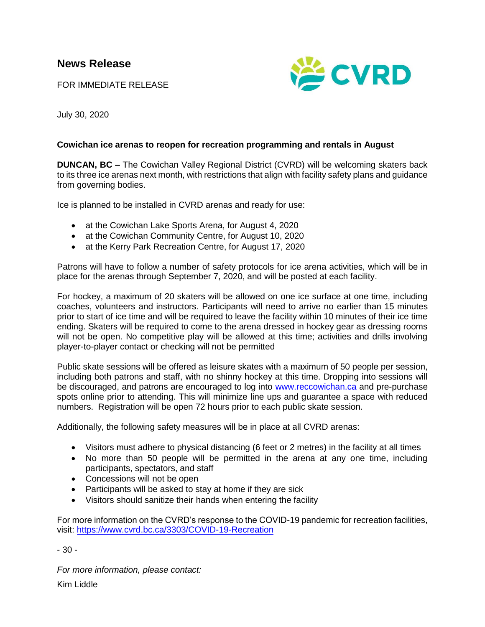FOR IMMEDIATE RELEASE



July 30, 2020

## **Cowichan ice arenas to reopen for recreation programming and rentals in August**

**DUNCAN, BC –** The Cowichan Valley Regional District (CVRD) will be welcoming skaters back to its three ice arenas next month, with restrictions that align with facility safety plans and guidance from governing bodies.

Ice is planned to be installed in CVRD arenas and ready for use:

- at the Cowichan Lake Sports Arena, for August 4, 2020
- at the Cowichan Community Centre, for August 10, 2020
- at the Kerry Park Recreation Centre, for August 17, 2020

Patrons will have to follow a number of safety protocols for ice arena activities, which will be in place for the arenas through September 7, 2020, and will be posted at each facility.

For hockey, a maximum of 20 skaters will be allowed on one ice surface at one time, including coaches, volunteers and instructors. Participants will need to arrive no earlier than 15 minutes prior to start of ice time and will be required to leave the facility within 10 minutes of their ice time ending. Skaters will be required to come to the arena dressed in hockey gear as dressing rooms will not be open. No competitive play will be allowed at this time; activities and drills involving player-to-player contact or checking will not be permitted

Public skate sessions will be offered as leisure skates with a maximum of 50 people per session, including both patrons and staff, with no shinny hockey at this time. Dropping into sessions will be discouraged, and patrons are encouraged to log into [www.reccowichan.ca](http://www.reccowichan.ca/) and pre-purchase spots online prior to attending. This will minimize line ups and guarantee a space with reduced numbers. Registration will be open 72 hours prior to each public skate session.

Additionally, the following safety measures will be in place at all CVRD arenas:

- Visitors must adhere to physical distancing (6 feet or 2 metres) in the facility at all times
- No more than 50 people will be permitted in the arena at any one time, including participants, spectators, and staff
- Concessions will not be open
- Participants will be asked to stay at home if they are sick
- Visitors should sanitize their hands when entering the facility

For more information on the CVRD's response to the COVID-19 pandemic for recreation facilities, visit:<https://www.cvrd.bc.ca/3303/COVID-19-Recreation>

- 30 -

*For more information, please contact:* Kim Liddle